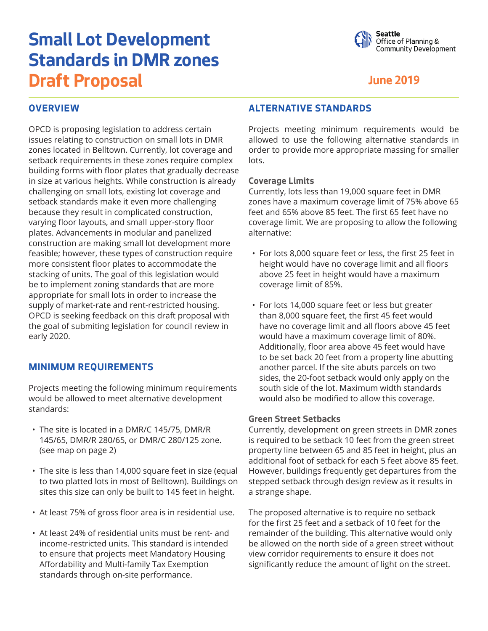# **Small Lot Development Standards in DMR zones Draft Proposal June 2019**



## **OVERVIEW**

OPCD is proposing legislation to address certain issues relating to construction on small lots in DMR zones located in Belltown. Currently, lot coverage and setback requirements in these zones require complex building forms with floor plates that gradually decrease in size at various heights. While construction is already challenging on small lots, existing lot coverage and setback standards make it even more challenging because they result in complicated construction, varying floor layouts, and small upper-story floor plates. Advancements in modular and panelized construction are making small lot development more feasible; however, these types of construction require more consistent floor plates to accommodate the stacking of units. The goal of this legislation would be to implement zoning standards that are more appropriate for small lots in order to increase the supply of market-rate and rent-restricted housing. OPCD is seeking feedback on this draft proposal with the goal of submiting legislation for council review in early 2020.

#### **MINIMUM REQUIREMENTS**

Projects meeting the following minimum requirements would be allowed to meet alternative development standards:

- The site is located in a DMR/C 145/75, DMR/R 145/65, DMR/R 280/65, or DMR/C 280/125 zone. (see map on page 2)
- The site is less than 14,000 square feet in size (equal to two platted lots in most of Belltown). Buildings on sites this size can only be built to 145 feet in height.
- At least 75% of gross floor area is in residential use.
- At least 24% of residential units must be rent- and income-restricted units. This standard is intended to ensure that projects meet Mandatory Housing Affordability and Multi-family Tax Exemption standards through on-site performance.

#### **ALTERNATIVE STANDARDS**

Projects meeting minimum requirements would be allowed to use the following alternative standards in order to provide more appropriate massing for smaller lots.

#### **Coverage Limits**

Currently, lots less than 19,000 square feet in DMR zones have a maximum coverage limit of 75% above 65 feet and 65% above 85 feet. The first 65 feet have no coverage limit. We are proposing to allow the following alternative:

- For lots 8,000 square feet or less, the first 25 feet in height would have no coverage limit and all floors above 25 feet in height would have a maximum coverage limit of 85%.
- For lots 14,000 square feet or less but greater than 8,000 square feet, the first 45 feet would have no coverage limit and all floors above 45 feet would have a maximum coverage limit of 80%. Additionally, floor area above 45 feet would have to be set back 20 feet from a property line abutting another parcel. If the site abuts parcels on two sides, the 20-foot setback would only apply on the south side of the lot. Maximum width standards would also be modified to allow this coverage.

#### **Green Street Setbacks**

Currently, development on green streets in DMR zones is required to be setback 10 feet from the green street property line between 65 and 85 feet in height, plus an additional foot of setback for each 5 feet above 85 feet. However, buildings frequently get departures from the stepped setback through design review as it results in a strange shape.

The proposed alternative is to require no setback for the first 25 feet and a setback of 10 feet for the remainder of the building. This alternative would only be allowed on the north side of a green street without view corridor requirements to ensure it does not significantly reduce the amount of light on the street.